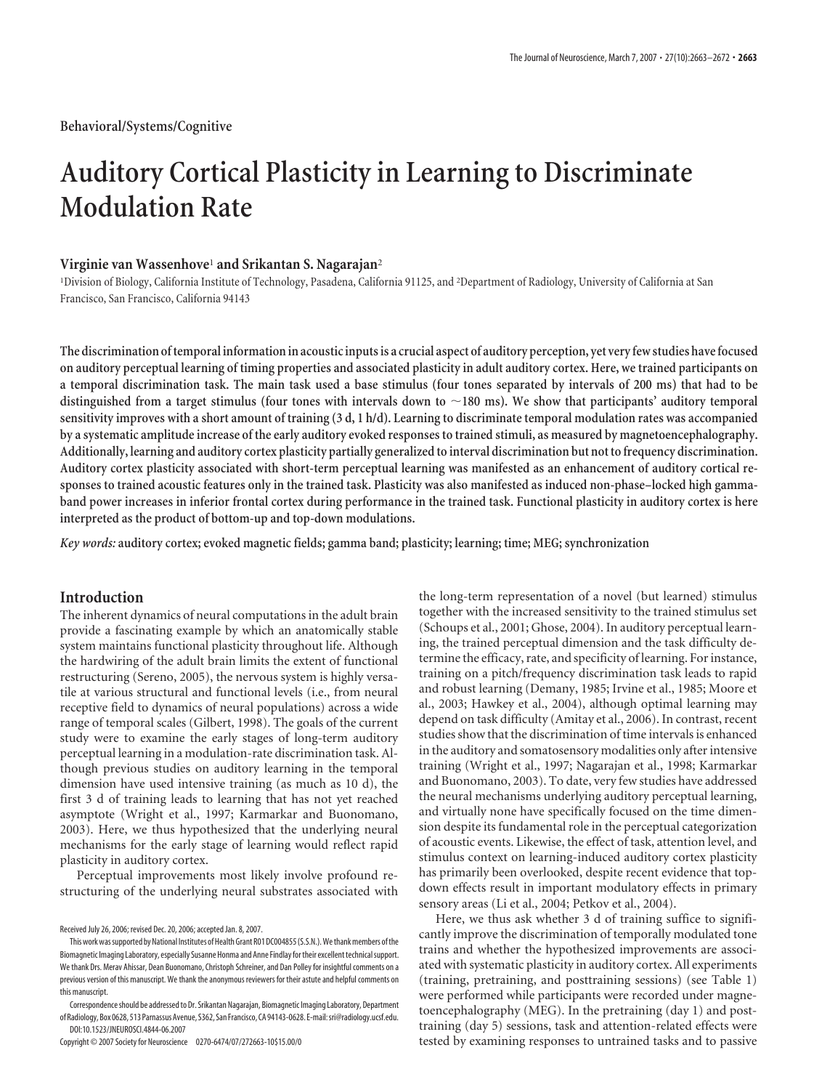# **Auditory Cortical Plasticity in Learning to Discriminate Modulation Rate**

# **Virginie van Wassenhove**<sup>1</sup> **and Srikantan S. Nagarajan**<sup>2</sup>

1 Division of Biology, California Institute of Technology, Pasadena, California 91125, and <sup>2</sup> Department of Radiology, University of California at San Francisco, San Francisco, California 94143

**The discrimination oftemporal information in acoustic inputs is a crucial aspect of auditory perception, yet veryfew studies havefocused on auditory perceptual learning of timing properties and associated plasticity in adult auditory cortex. Here, we trained participants on a temporal discrimination task. The main task used a base stimulus (four tones separated by intervals of 200 ms) that had to be distinguished from a target stimulus (four tones with intervals down to 180 ms). We show that participants' auditory temporal sensitivity improves with a short amount of training (3 d, 1 h/d). Learning to discriminate temporal modulation rates was accompanied by a systematic amplitude increase of the early auditory evoked responses to trained stimuli, as measured by magnetoencephalography. Additionally, learning and auditory cortex plasticity partially generalized to interval discrimination but not to frequency discrimination. Auditory cortex plasticity associated with short-term perceptual learning was manifested as an enhancement of auditory cortical responses to trained acoustic features only in the trained task. Plasticity was also manifested as induced non-phase–locked high gammaband power increases in inferior frontal cortex during performance in the trained task. Functional plasticity in auditory cortex is here interpreted as the product of bottom-up and top-down modulations.**

*Key words:* **auditory cortex; evoked magnetic fields; gamma band; plasticity; learning; time; MEG; synchronization**

# **Introduction**

The inherent dynamics of neural computations in the adult brain provide a fascinating example by which an anatomically stable system maintains functional plasticity throughout life. Although the hardwiring of the adult brain limits the extent of functional restructuring (Sereno, 2005), the nervous system is highly versatile at various structural and functional levels (i.e., from neural receptive field to dynamics of neural populations) across a wide range of temporal scales (Gilbert, 1998). The goals of the current study were to examine the early stages of long-term auditory perceptual learning in a modulation-rate discrimination task. Although previous studies on auditory learning in the temporal dimension have used intensive training (as much as 10 d), the first 3 d of training leads to learning that has not yet reached asymptote (Wright et al., 1997; Karmarkar and Buonomano, 2003). Here, we thus hypothesized that the underlying neural mechanisms for the early stage of learning would reflect rapid plasticity in auditory cortex.

Perceptual improvements most likely involve profound restructuring of the underlying neural substrates associated with

Copyright © 2007 Society for Neuroscience 0270-6474/07/272663-10\$15.00/0

the long-term representation of a novel (but learned) stimulus together with the increased sensitivity to the trained stimulus set (Schoups et al., 2001; Ghose, 2004). In auditory perceptual learning, the trained perceptual dimension and the task difficulty determine the efficacy, rate, and specificity of learning. For instance, training on a pitch/frequency discrimination task leads to rapid and robust learning (Demany, 1985; Irvine et al., 1985; Moore et al., 2003; Hawkey et al., 2004), although optimal learning may depend on task difficulty (Amitay et al., 2006). In contrast, recent studies show that the discrimination of time intervals is enhanced in the auditory and somatosensory modalities only after intensive training (Wright et al., 1997; Nagarajan et al., 1998; Karmarkar and Buonomano, 2003). To date, very few studies have addressed the neural mechanisms underlying auditory perceptual learning, and virtually none have specifically focused on the time dimension despite its fundamental role in the perceptual categorization of acoustic events. Likewise, the effect of task, attention level, and stimulus context on learning-induced auditory cortex plasticity has primarily been overlooked, despite recent evidence that topdown effects result in important modulatory effects in primary sensory areas (Li et al., 2004; Petkov et al., 2004).

Here, we thus ask whether 3 d of training suffice to significantly improve the discrimination of temporally modulated tone trains and whether the hypothesized improvements are associated with systematic plasticity in auditory cortex. All experiments (training, pretraining, and posttraining sessions) (see Table 1) were performed while participants were recorded under magnetoencephalography (MEG). In the pretraining (day 1) and posttraining (day 5) sessions, task and attention-related effects were tested by examining responses to untrained tasks and to passive

Received July 26, 2006; revised Dec. 20, 2006; accepted Jan. 8, 2007.

This work was supported by National Institutes of Health Grant R01 DC004855 (S.S.N.). We thank members of the Biomagnetic Imaging Laboratory, especially Susanne Honma and Anne Findlay for their excellent technical support. We thank Drs. Merav Ahissar, Dean Buonomano, Christoph Schreiner, and Dan Polley for insightful comments on a previous version of this manuscript. We thank the anonymous reviewers for their astute and helpful comments on this manuscript.

Correspondenceshould be addressed to Dr. Srikantan Nagarajan, Biomagnetic Imaging Laboratory, Department of Radiology, Box 0628, 513 Parnassus Avenue, S362, San Francisco, CA 94143-0628. E-mail: sri@radiology.ucsf.edu. DOI:10.1523/JNEUROSCI.4844-06.2007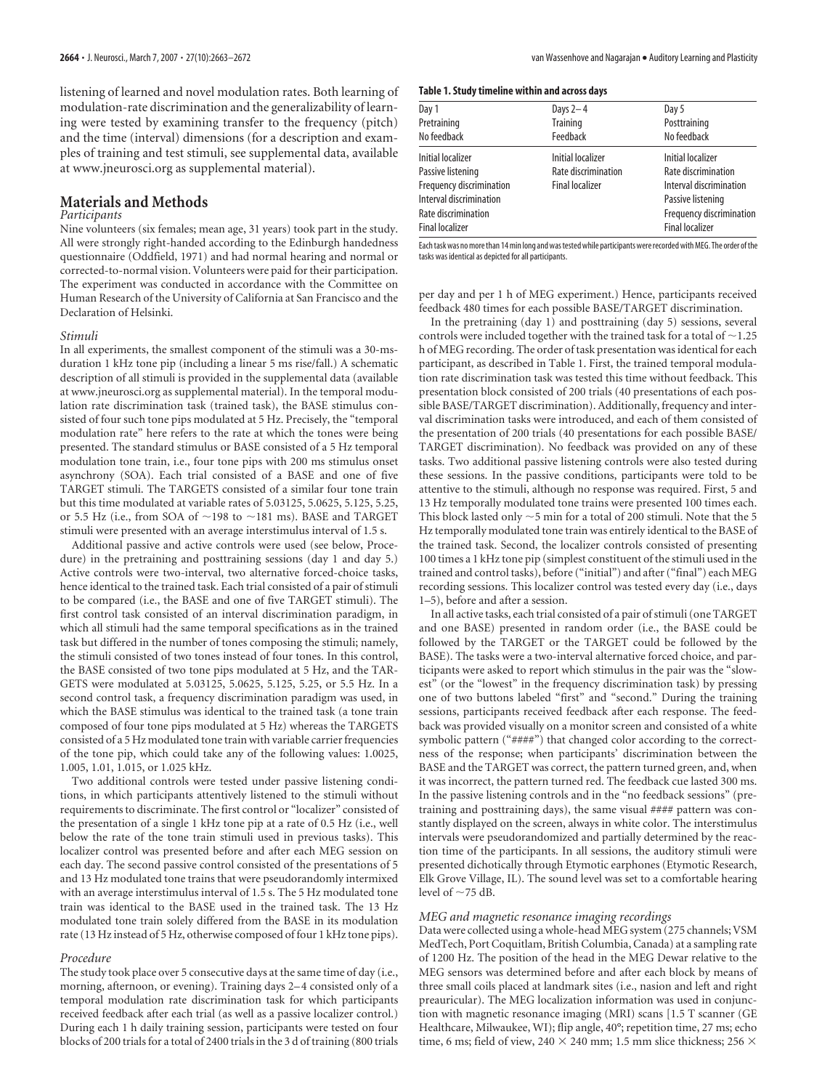listening of learned and novel modulation rates. Both learning of modulation-rate discrimination and the generalizability of learning were tested by examining transfer to the frequency (pitch) and the time (interval) dimensions (for a description and examples of training and test stimuli, see supplemental data, available at www.jneurosci.org as supplemental material).

# **Materials and Methods**

## *Participants*

Nine volunteers (six females; mean age, 31 years) took part in the study. All were strongly right-handed according to the Edinburgh handedness questionnaire (Oddfield, 1971) and had normal hearing and normal or corrected-to-normal vision. Volunteers were paid for their participation. The experiment was conducted in accordance with the Committee on Human Research of the University of California at San Francisco and the Declaration of Helsinki.

#### *Stimuli*

In all experiments, the smallest component of the stimuli was a 30-msduration 1 kHz tone pip (including a linear 5 ms rise/fall.) A schematic description of all stimuli is provided in the supplemental data (available at www.jneurosci.org as supplemental material). In the temporal modulation rate discrimination task (trained task), the BASE stimulus consisted of four such tone pips modulated at 5 Hz. Precisely, the "temporal modulation rate" here refers to the rate at which the tones were being presented. The standard stimulus or BASE consisted of a 5 Hz temporal modulation tone train, i.e., four tone pips with 200 ms stimulus onset asynchrony (SOA). Each trial consisted of a BASE and one of five TARGET stimuli. The TARGETS consisted of a similar four tone train but this time modulated at variable rates of 5.03125, 5.0625, 5.125, 5.25, or 5.5 Hz (i.e., from SOA of  $\sim$ 198 to  $\sim$ 181 ms). BASE and TARGET stimuli were presented with an average interstimulus interval of 1.5 s.

Additional passive and active controls were used (see below, Procedure) in the pretraining and posttraining sessions (day 1 and day 5.) Active controls were two-interval, two alternative forced-choice tasks, hence identical to the trained task. Each trial consisted of a pair of stimuli to be compared (i.e., the BASE and one of five TARGET stimuli). The first control task consisted of an interval discrimination paradigm, in which all stimuli had the same temporal specifications as in the trained task but differed in the number of tones composing the stimuli; namely, the stimuli consisted of two tones instead of four tones. In this control, the BASE consisted of two tone pips modulated at 5 Hz, and the TAR-GETS were modulated at 5.03125, 5.0625, 5.125, 5.25, or 5.5 Hz. In a second control task, a frequency discrimination paradigm was used, in which the BASE stimulus was identical to the trained task (a tone train composed of four tone pips modulated at 5 Hz) whereas the TARGETS consisted of a 5 Hz modulated tone train with variable carrier frequencies of the tone pip, which could take any of the following values: 1.0025, 1.005, 1.01, 1.015, or 1.025 kHz.

Two additional controls were tested under passive listening conditions, in which participants attentively listened to the stimuli without requirements to discriminate. The first control or "localizer" consisted of the presentation of a single 1 kHz tone pip at a rate of 0.5 Hz (i.e., well below the rate of the tone train stimuli used in previous tasks). This localizer control was presented before and after each MEG session on each day. The second passive control consisted of the presentations of 5 and 13 Hz modulated tone trains that were pseudorandomly intermixed with an average interstimulus interval of 1.5 s. The 5 Hz modulated tone train was identical to the BASE used in the trained task. The 13 Hz modulated tone train solely differed from the BASE in its modulation rate (13 Hz instead of 5 Hz, otherwise composed of four 1 kHz tone pips).

#### *Procedure*

The study took place over 5 consecutive days at the same time of day (i.e., morning, afternoon, or evening). Training days 2– 4 consisted only of a temporal modulation rate discrimination task for which participants received feedback after each trial (as well as a passive localizer control.) During each 1 h daily training session, participants were tested on four blocks of 200 trials for a total of 2400 trials in the 3 d of training (800 trials

| Table 1. Study timeline within and across days |  |  |  |
|------------------------------------------------|--|--|--|
|------------------------------------------------|--|--|--|

| Day 1                           | Days $2-4$             | Day 5                    |
|---------------------------------|------------------------|--------------------------|
| Pretraining                     | <b>Training</b>        | Posttraining             |
| No feedback                     | Feedback               | No feedback              |
| <b>Initial localizer</b>        | Initial localizer      | Initial localizer        |
| Passive listening               | Rate discrimination    | Rate discrimination      |
| <b>Frequency discrimination</b> | <b>Final localizer</b> | Interval discrimination  |
| Interval discrimination         |                        | Passive listening        |
| Rate discrimination             |                        | Frequency discrimination |
| Final localizer                 |                        | <b>Final localizer</b>   |
|                                 |                        |                          |

Eachtask was nomorethan 14min long and wastested while participants wererecorded withMEG. The order ofthe tasks was identical as depicted for all participants.

per day and per 1 h of MEG experiment.) Hence, participants received feedback 480 times for each possible BASE/TARGET discrimination.

In the pretraining (day 1) and posttraining (day 5) sessions, several controls were included together with the trained task for a total of  $\sim$  1.25 h of MEG recording. The order of task presentation was identical for each participant, as described in Table 1. First, the trained temporal modulation rate discrimination task was tested this time without feedback. This presentation block consisted of 200 trials (40 presentations of each possible BASE/TARGET discrimination). Additionally, frequency and interval discrimination tasks were introduced, and each of them consisted of the presentation of 200 trials (40 presentations for each possible BASE/ TARGET discrimination). No feedback was provided on any of these tasks. Two additional passive listening controls were also tested during these sessions. In the passive conditions, participants were told to be attentive to the stimuli, although no response was required. First, 5 and 13 Hz temporally modulated tone trains were presented 100 times each. This block lasted only  ${\sim}5$  min for a total of 200 stimuli. Note that the 5 Hz temporally modulated tone train was entirely identical to the BASE of the trained task. Second, the localizer controls consisted of presenting 100 times a 1 kHz tone pip (simplest constituent of the stimuli used in the trained and control tasks), before ("initial") and after ("final") each MEG recording sessions. This localizer control was tested every day (i.e., days 1–5), before and after a session.

In all active tasks, each trial consisted of a pair of stimuli (one TARGET and one BASE) presented in random order (i.e., the BASE could be followed by the TARGET or the TARGET could be followed by the BASE). The tasks were a two-interval alternative forced choice, and participants were asked to report which stimulus in the pair was the "slowest" (or the "lowest" in the frequency discrimination task) by pressing one of two buttons labeled "first" and "second." During the training sessions, participants received feedback after each response. The feedback was provided visually on a monitor screen and consisted of a white symbolic pattern ("####") that changed color according to the correctness of the response; when participants' discrimination between the BASE and the TARGET was correct, the pattern turned green, and, when it was incorrect, the pattern turned red. The feedback cue lasted 300 ms. In the passive listening controls and in the "no feedback sessions" (pretraining and posttraining days), the same visual #### pattern was constantly displayed on the screen, always in white color. The interstimulus intervals were pseudorandomized and partially determined by the reaction time of the participants. In all sessions, the auditory stimuli were presented dichotically through Etymotic earphones (Etymotic Research, Elk Grove Village, IL). The sound level was set to a comfortable hearing level of  $\sim$ 75 dB.

### *MEG and magnetic resonance imaging recordings*

Data were collected using a whole-head MEG system (275 channels; VSM MedTech, Port Coquitlam, British Columbia, Canada) at a sampling rate of 1200 Hz. The position of the head in the MEG Dewar relative to the MEG sensors was determined before and after each block by means of three small coils placed at landmark sites (i.e., nasion and left and right preauricular). The MEG localization information was used in conjunction with magnetic resonance imaging (MRI) scans [1.5 T scanner (GE Healthcare, Milwaukee, WI); flip angle, 40°; repetition time, 27 ms; echo time, 6 ms; field of view, 240  $\times$  240 mm; 1.5 mm slice thickness; 256  $\times$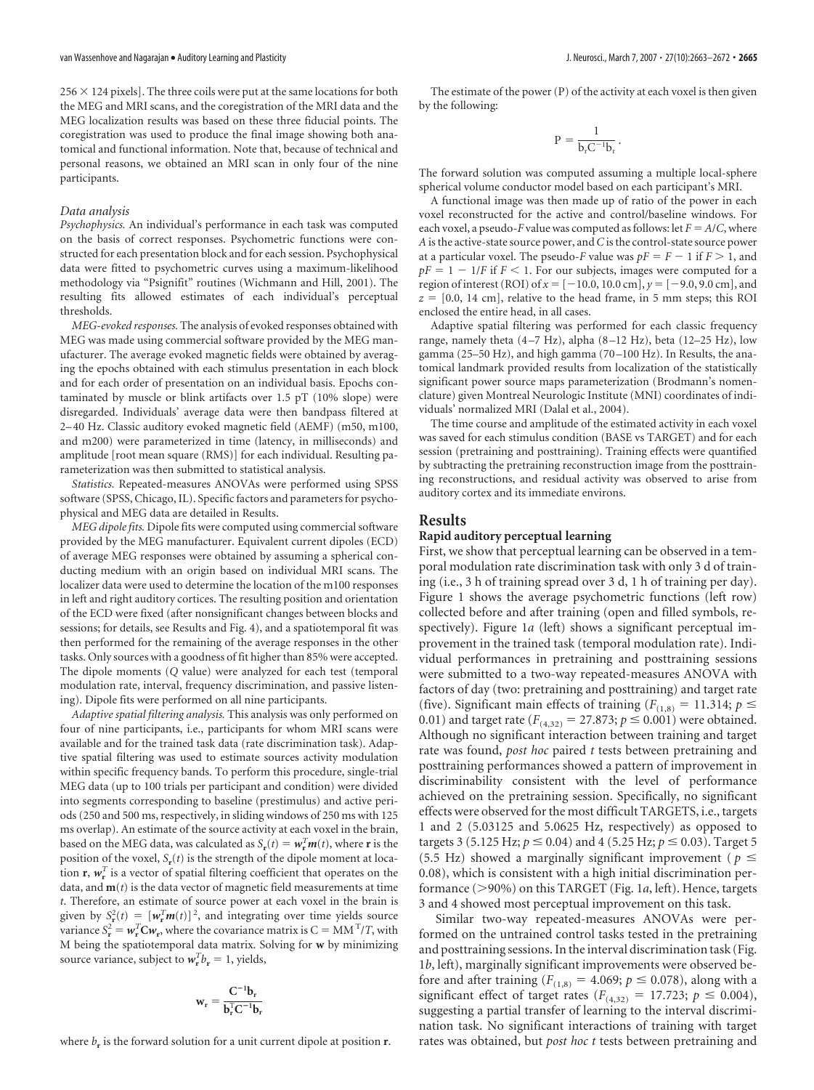$256 \times 124$  pixels]. The three coils were put at the same locations for both the MEG and MRI scans, and the coregistration of the MRI data and the MEG localization results was based on these three fiducial points. The coregistration was used to produce the final image showing both anatomical and functional information. Note that, because of technical and personal reasons, we obtained an MRI scan in only four of the nine participants.

#### *Data analysis*

*Psychophysics.* An individual's performance in each task was computed on the basis of correct responses. Psychometric functions were constructed for each presentation block and for each session. Psychophysical data were fitted to psychometric curves using a maximum-likelihood methodology via "Psignifit" routines (Wichmann and Hill, 2001). The resulting fits allowed estimates of each individual's perceptual thresholds.

*MEG-evoked responses.* The analysis of evoked responses obtained with MEG was made using commercial software provided by the MEG manufacturer. The average evoked magnetic fields were obtained by averaging the epochs obtained with each stimulus presentation in each block and for each order of presentation on an individual basis. Epochs contaminated by muscle or blink artifacts over 1.5 pT (10% slope) were disregarded. Individuals' average data were then bandpass filtered at 2– 40 Hz. Classic auditory evoked magnetic field (AEMF) (m50, m100, and m200) were parameterized in time (latency, in milliseconds) and amplitude [root mean square (RMS)] for each individual. Resulting parameterization was then submitted to statistical analysis.

*Statistics.* Repeated-measures ANOVAs were performed using SPSS software (SPSS, Chicago, IL). Specific factors and parameters for psychophysical and MEG data are detailed in Results.

*MEG dipole fits.* Dipole fits were computed using commercial software provided by the MEG manufacturer. Equivalent current dipoles (ECD) of average MEG responses were obtained by assuming a spherical conducting medium with an origin based on individual MRI scans. The localizer data were used to determine the location of the m100 responses in left and right auditory cortices. The resulting position and orientation of the ECD were fixed (after nonsignificant changes between blocks and sessions; for details, see Results and Fig. 4), and a spatiotemporal fit was then performed for the remaining of the average responses in the other tasks. Only sources with a goodness of fit higher than 85% were accepted. The dipole moments (*Q* value) were analyzed for each test (temporal modulation rate, interval, frequency discrimination, and passive listening). Dipole fits were performed on all nine participants.

*Adaptive spatial filtering analysis.* This analysis was only performed on four of nine participants, i.e., participants for whom MRI scans were available and for the trained task data (rate discrimination task). Adaptive spatial filtering was used to estimate sources activity modulation within specific frequency bands. To perform this procedure, single-trial MEG data (up to 100 trials per participant and condition) were divided into segments corresponding to baseline (prestimulus) and active periods (250 and 500 ms, respectively, in sliding windows of 250 ms with 125 ms overlap). An estimate of the source activity at each voxel in the brain, based on the MEG data, was calculated as  $S_{\bf r}(t) = \boldsymbol{w}_{\bf r}^T \boldsymbol{m}(t)$ , where **r** is the position of the voxel,  $S_r(t)$  is the strength of the dipole moment at location  $\mathbf{r}, \mathbf{w}_\mathbf{r}^T$  is a vector of spatial filtering coefficient that operates on the data, and  $\mathbf{m}(t)$  is the data vector of magnetic field measurements at time *t*. Therefore, an estimate of source power at each voxel in the brain is given by  $S_{\bf r}^2(t) = [w_{\bf r}^T m(t)]^2$ , and integrating over time yields source variance  $S_r^2 = w_r^T C w_r$ , where the covariance matrix is  $C = MM^T / T$ , with M being the spatiotemporal data matrix. Solving for **w** by minimizing source variance, subject to  $w_r^T b_r = 1$ , yields,

$$
\mathbf{w}_{\mathrm{r}} = \frac{\mathbf{C}^{-1} \mathbf{b}_{\mathrm{r}}}{\mathbf{b}_{\mathrm{r}}^{\mathrm{T}} \mathbf{C}^{-1} \mathbf{b}_{\mathrm{r}}}
$$

where  $b_r$  is the forward solution for a unit current dipole at position  $r$ .

The estimate of the power (P) of the activity at each voxel is then given by the following:

$$
P=\frac{1}{b_rC^{-1}b_r}\,.
$$

The forward solution was computed assuming a multiple local-sphere spherical volume conductor model based on each participant's MRI.

A functional image was then made up of ratio of the power in each voxel reconstructed for the active and control/baseline windows. For each voxel, a pseudo-*F* value was computed as follows: let  $F = A/C$ , where *A* is the active-state source power, and*C* is the control-state source power at a particular voxel. The pseudo-*F* value was  $pF = F - 1$  if  $F > 1$ , and  $pF = 1 - 1/F$  if  $F < 1$ . For our subjects, images were computed for a region of interest (ROI) of  $x = [-10.0, 10.0 \text{ cm}]$ ,  $y = [-9.0, 9.0 \text{ cm}]$ , and  $z = [0.0, 14 \text{ cm}]$ , relative to the head frame, in 5 mm steps; this ROI enclosed the entire head, in all cases.

Adaptive spatial filtering was performed for each classic frequency range, namely theta (4 –7 Hz), alpha (8 –12 Hz), beta (12–25 Hz), low gamma (25–50 Hz), and high gamma (70 –100 Hz). In Results, the anatomical landmark provided results from localization of the statistically significant power source maps parameterization (Brodmann's nomenclature) given Montreal Neurologic Institute (MNI) coordinates of individuals' normalized MRI (Dalal et al., 2004).

The time course and amplitude of the estimated activity in each voxel was saved for each stimulus condition (BASE vs TARGET) and for each session (pretraining and posttraining). Training effects were quantified by subtracting the pretraining reconstruction image from the posttraining reconstructions, and residual activity was observed to arise from auditory cortex and its immediate environs.

## **Results**

# **Rapid auditory perceptual learning**

First, we show that perceptual learning can be observed in a temporal modulation rate discrimination task with only 3 d of training (i.e., 3 h of training spread over 3 d, 1 h of training per day). Figure 1 shows the average psychometric functions (left row) collected before and after training (open and filled symbols, respectively). Figure 1*a* (left) shows a significant perceptual improvement in the trained task (temporal modulation rate). Individual performances in pretraining and posttraining sessions were submitted to a two-way repeated-measures ANOVA with factors of day (two: pretraining and posttraining) and target rate (five). Significant main effects of training ( $F_{(1,8)} = 11.314$ ;  $p \le$ 0.01) and target rate  $(F_{(4,32)} = 27.873; p \le 0.001)$  were obtained. Although no significant interaction between training and target rate was found, *post hoc* paired *t* tests between pretraining and posttraining performances showed a pattern of improvement in discriminability consistent with the level of performance achieved on the pretraining session. Specifically, no significant effects were observed for the most difficult TARGETS, i.e., targets 1 and 2 (5.03125 and 5.0625 Hz, respectively) as opposed to targets 3 (5.125 Hz;  $p \le 0.04$ ) and 4 (5.25 Hz;  $p \le 0.03$ ). Target 5 (5.5 Hz) showed a marginally significant improvement ( $p \leq$ 0.08), which is consistent with a high initial discrimination performance (90%) on this TARGET (Fig. 1*a*, left). Hence, targets 3 and 4 showed most perceptual improvement on this task.

Similar two-way repeated-measures ANOVAs were performed on the untrained control tasks tested in the pretraining and posttraining sessions. In the interval discrimination task (Fig. 1*b*, left), marginally significant improvements were observed before and after training ( $F_{(1,8)} = 4.069$ ;  $p \le 0.078$ ), along with a significant effect of target rates  $(F_{(4,32)} = 17.723; p \le 0.004)$ , suggesting a partial transfer of learning to the interval discrimination task. No significant interactions of training with target rates was obtained, but *post hoc t* tests between pretraining and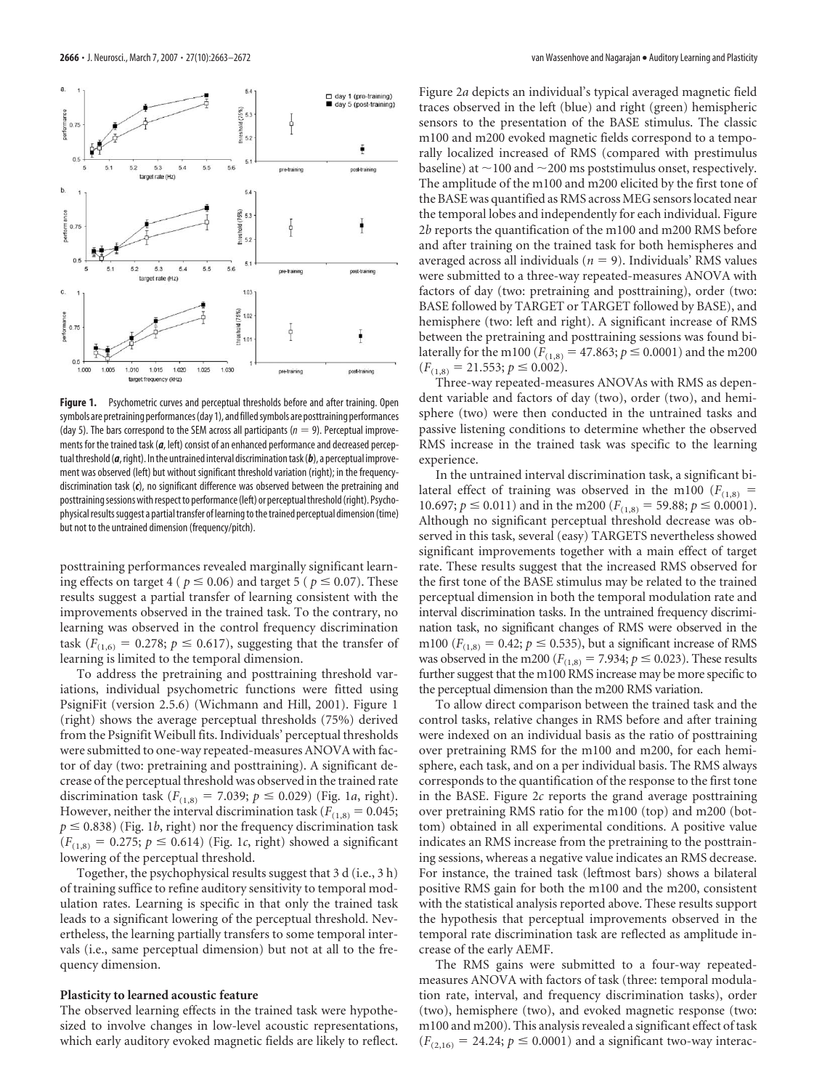

**Figure 1.** Psychometric curves and perceptual thresholds before and after training. Open symbols are pretraining performances (day 1), and filled symbols are posttraining performances (day 5). The bars correspond to the SEM across all participants ( $n = 9$ ). Perceptual improvements for the trained task (*a*, left) consist of an enhanced performance and decreased perceptual threshold (*a*, right). In the untrained interval discrimination task (*b*), a perceptual improvement was observed (left) but without significant threshold variation (right); in the frequencydiscrimination task (*c*), no significant difference was observed between the pretraining and posttraining sessions with respect to performance (left) or perceptual threshold (right). Psychophysical results suggest a partial transfer of learning to the trained perceptual dimension (time) but not to the untrained dimension (frequency/pitch).

posttraining performances revealed marginally significant learning effects on target 4 ( $p \le 0.06$ ) and target 5 ( $p \le 0.07$ ). These results suggest a partial transfer of learning consistent with the improvements observed in the trained task. To the contrary, no learning was observed in the control frequency discrimination task ( $F_{(1,6)} = 0.278$ ;  $p \le 0.617$ ), suggesting that the transfer of learning is limited to the temporal dimension.

To address the pretraining and posttraining threshold variations, individual psychometric functions were fitted using PsigniFit (version 2.5.6) (Wichmann and Hill, 2001). Figure 1 (right) shows the average perceptual thresholds (75%) derived from the Psignifit Weibull fits. Individuals' perceptual thresholds were submitted to one-way repeated-measures ANOVA with factor of day (two: pretraining and posttraining). A significant decrease of the perceptual threshold was observed in the trained rate discrimination task  $(F_{(1,8)} = 7.039; p \le 0.029)$  (Fig. 1*a*, right). However, neither the interval discrimination task ( $F_{(1,8)} = 0.045$ ;  $p \le 0.838$ ) (Fig. 1*b*, right) nor the frequency discrimination task  $(F_{(1,8)} = 0.275; p \le 0.614)$  (Fig. 1*c*, right) showed a significant lowering of the perceptual threshold.

Together, the psychophysical results suggest that 3 d (i.e., 3 h) of training suffice to refine auditory sensitivity to temporal modulation rates. Learning is specific in that only the trained task leads to a significant lowering of the perceptual threshold. Nevertheless, the learning partially transfers to some temporal intervals (i.e., same perceptual dimension) but not at all to the frequency dimension.

## **Plasticity to learned acoustic feature**

The observed learning effects in the trained task were hypothesized to involve changes in low-level acoustic representations, which early auditory evoked magnetic fields are likely to reflect. Figure 2*a* depicts an individual's typical averaged magnetic field traces observed in the left (blue) and right (green) hemispheric sensors to the presentation of the BASE stimulus. The classic m100 and m200 evoked magnetic fields correspond to a temporally localized increased of RMS (compared with prestimulus baseline) at  $\sim$ 100 and  $\sim$ 200 ms poststimulus onset, respectively. The amplitude of the m100 and m200 elicited by the first tone of the BASE was quantified as RMS across MEG sensors located near the temporal lobes and independently for each individual. Figure 2*b* reports the quantification of the m100 and m200 RMS before and after training on the trained task for both hemispheres and averaged across all individuals ( $n = 9$ ). Individuals' RMS values were submitted to a three-way repeated-measures ANOVA with factors of day (two: pretraining and posttraining), order (two: BASE followed by TARGET or TARGET followed by BASE), and hemisphere (two: left and right). A significant increase of RMS between the pretraining and posttraining sessions was found bilaterally for the m100 ( $F_{(1,8)} = 47.863; p \le 0.0001$ ) and the m200  $(F_{(1,8)} = 21.553; p \le 0.002).$ 

Three-way repeated-measures ANOVAs with RMS as dependent variable and factors of day (two), order (two), and hemisphere (two) were then conducted in the untrained tasks and passive listening conditions to determine whether the observed RMS increase in the trained task was specific to the learning experience.

In the untrained interval discrimination task, a significant bilateral effect of training was observed in the m100 ( $F<sub>(1,8)</sub>$ ) = 10.697;  $p \le 0.011$ ) and in the m200 ( $F_{(1,8)} = 59.88$ ;  $p \le 0.0001$ ). Although no significant perceptual threshold decrease was observed in this task, several (easy) TARGETS nevertheless showed significant improvements together with a main effect of target rate. These results suggest that the increased RMS observed for the first tone of the BASE stimulus may be related to the trained perceptual dimension in both the temporal modulation rate and interval discrimination tasks. In the untrained frequency discrimination task, no significant changes of RMS were observed in the m100 ( $F_{(1,8)} = 0.42$ ;  $p \le 0.535$ ), but a significant increase of RMS was observed in the m200 ( $F_{(1,8)} = 7.934; p \le 0.023$ ). These results further suggest that the m100 RMS increase may be more specific to the perceptual dimension than the m200 RMS variation.

To allow direct comparison between the trained task and the control tasks, relative changes in RMS before and after training were indexed on an individual basis as the ratio of posttraining over pretraining RMS for the m100 and m200, for each hemisphere, each task, and on a per individual basis. The RMS always corresponds to the quantification of the response to the first tone in the BASE. Figure 2*c* reports the grand average posttraining over pretraining RMS ratio for the m100 (top) and m200 (bottom) obtained in all experimental conditions. A positive value indicates an RMS increase from the pretraining to the posttraining sessions, whereas a negative value indicates an RMS decrease. For instance, the trained task (leftmost bars) shows a bilateral positive RMS gain for both the m100 and the m200, consistent with the statistical analysis reported above. These results support the hypothesis that perceptual improvements observed in the temporal rate discrimination task are reflected as amplitude increase of the early AEMF.

The RMS gains were submitted to a four-way repeatedmeasures ANOVA with factors of task (three: temporal modulation rate, interval, and frequency discrimination tasks), order (two), hemisphere (two), and evoked magnetic response (two: m100 and m200). This analysis revealed a significant effect of task  $(F_{(2,16)} = 24.24; p \le 0.0001)$  and a significant two-way interac-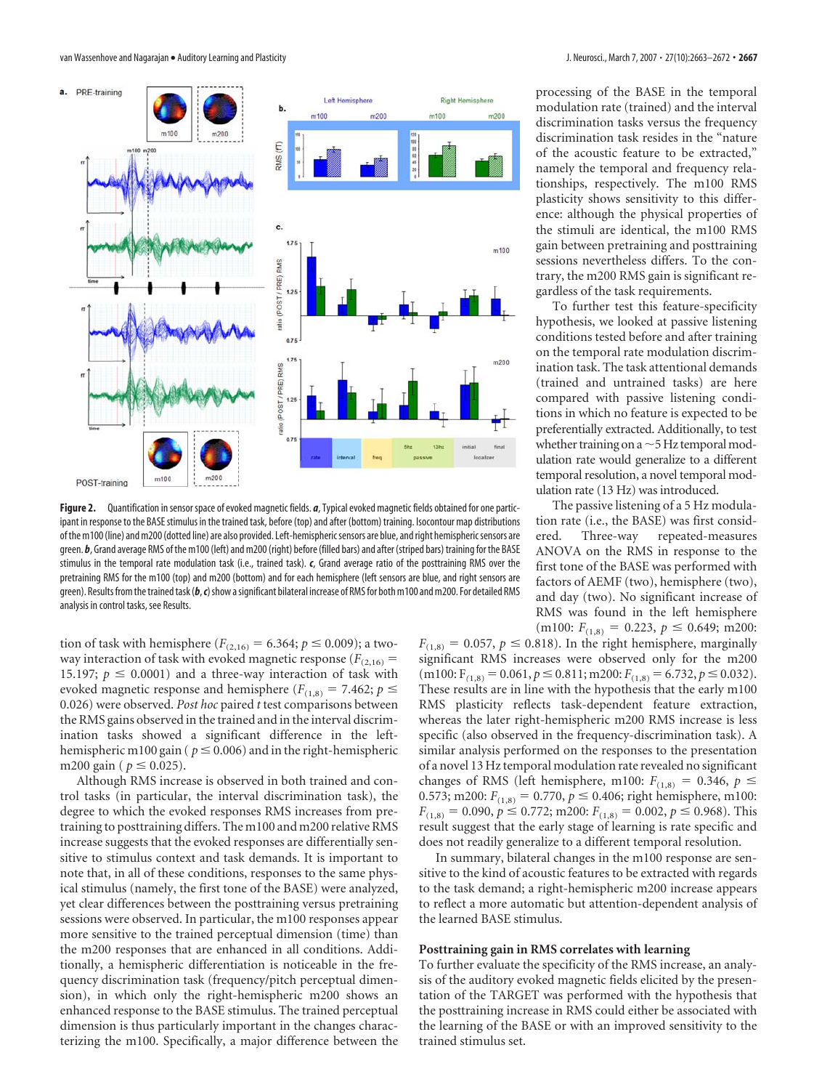

**Figure 2.** Quantification in sensor space of evoked magnetic fields. *a*, Typical evoked magnetic fields obtained for one participant in response to the BASE stimulus in the trained task, before (top) and after (bottom) training. Isocontour map distributions of the m100 (line) and m200 (dotted line) are also provided. Left-hemisphericsensors are blue, and right hemisphericsensors are green. *b*, Grand average RMS of the m100 (left) and m200 (right) before (filled bars) and after (striped bars) training for the BASE stimulus in the temporal rate modulation task (i.e., trained task). *c*, Grand average ratio of the posttraining RMS over the pretraining RMS for the m100 (top) and m200 (bottom) and for each hemisphere (left sensors are blue, and right sensors are green). Results from the trained task (b, c) show a significant bilateral increase of RMS for both m100 and m200. For detailed RMS analysis in control tasks, see Results.

tion of task with hemisphere ( $F_{(2,16)} = 6.364; p \le 0.009$ ); a twoway interaction of task with evoked magnetic response  $(F_{(2,16)})$ 15.197;  $p \leq 0.0001$ ) and a three-way interaction of task with evoked magnetic response and hemisphere ( $F_{(1,8)} = 7.462$ ;  $p \le$ 0.026) were observed. *Post hoc* paired *t* test comparisons between the RMS gains observed in the trained and in the interval discrimination tasks showed a significant difference in the lefthemispheric m100 gain ( $p \le 0.006$ ) and in the right-hemispheric m200 gain ( $p \le 0.025$ ).

Although RMS increase is observed in both trained and control tasks (in particular, the interval discrimination task), the degree to which the evoked responses RMS increases from pretraining to posttraining differs. The m100 and m200 relative RMS increase suggests that the evoked responses are differentially sensitive to stimulus context and task demands. It is important to note that, in all of these conditions, responses to the same physical stimulus (namely, the first tone of the BASE) were analyzed, yet clear differences between the posttraining versus pretraining sessions were observed. In particular, the m100 responses appear more sensitive to the trained perceptual dimension (time) than the m200 responses that are enhanced in all conditions. Additionally, a hemispheric differentiation is noticeable in the frequency discrimination task (frequency/pitch perceptual dimension), in which only the right-hemispheric m200 shows an enhanced response to the BASE stimulus. The trained perceptual dimension is thus particularly important in the changes characterizing the m100. Specifically, a major difference between the

processing of the BASE in the temporal modulation rate (trained) and the interval discrimination tasks versus the frequency discrimination task resides in the "nature of the acoustic feature to be extracted," namely the temporal and frequency relationships, respectively. The m100 RMS plasticity shows sensitivity to this difference: although the physical properties of the stimuli are identical, the m100 RMS gain between pretraining and posttraining sessions nevertheless differs. To the contrary, the m200 RMS gain is significant regardless of the task requirements.

To further test this feature-specificity hypothesis, we looked at passive listening conditions tested before and after training on the temporal rate modulation discrimination task. The task attentional demands (trained and untrained tasks) are here compared with passive listening conditions in which no feature is expected to be preferentially extracted. Additionally, to test whether training on a  $\sim$  5 Hz temporal modulation rate would generalize to a different temporal resolution, a novel temporal modulation rate (13 Hz) was introduced.

The passive listening of a 5 Hz modulation rate (i.e., the BASE) was first considered. Three-way repeated-measures Three-way repeated-measures ANOVA on the RMS in response to the first tone of the BASE was performed with factors of AEMF (two), hemisphere (two), and day (two). No significant increase of RMS was found in the left hemisphere  $(m100: F_{(1,8)} = 0.223, p \le 0.649; m200:$ 

 $F_{(1,8)} = 0.057$ ,  $p \le 0.818$ ). In the right hemisphere, marginally significant RMS increases were observed only for the m200  $(m100; F_{(1,8)} = 0.061, p \le 0.811; m200; F_{(1,8)} = 6.732, p \le 0.032).$ These results are in line with the hypothesis that the early m100 RMS plasticity reflects task-dependent feature extraction, whereas the later right-hemispheric m200 RMS increase is less specific (also observed in the frequency-discrimination task). A similar analysis performed on the responses to the presentation of a novel 13 Hz temporal modulation rate revealed no significant changes of RMS (left hemisphere, m100:  $F_{(1,8)} = 0.346$ ,  $p \le$ 0.573; m200:  $F_{(1,8)} = 0.770$ ,  $p \le 0.406$ ; right hemisphere, m100:  $F_{(1,8)} = 0.090, p \le 0.772$ ; m200:  $F_{(1,8)} = 0.002, p \le 0.968$ ). This result suggest that the early stage of learning is rate specific and does not readily generalize to a different temporal resolution.

In summary, bilateral changes in the m100 response are sensitive to the kind of acoustic features to be extracted with regards to the task demand; a right-hemispheric m200 increase appears to reflect a more automatic but attention-dependent analysis of the learned BASE stimulus.

# **Posttraining gain in RMS correlates with learning**

To further evaluate the specificity of the RMS increase, an analysis of the auditory evoked magnetic fields elicited by the presentation of the TARGET was performed with the hypothesis that the posttraining increase in RMS could either be associated with the learning of the BASE or with an improved sensitivity to the trained stimulus set.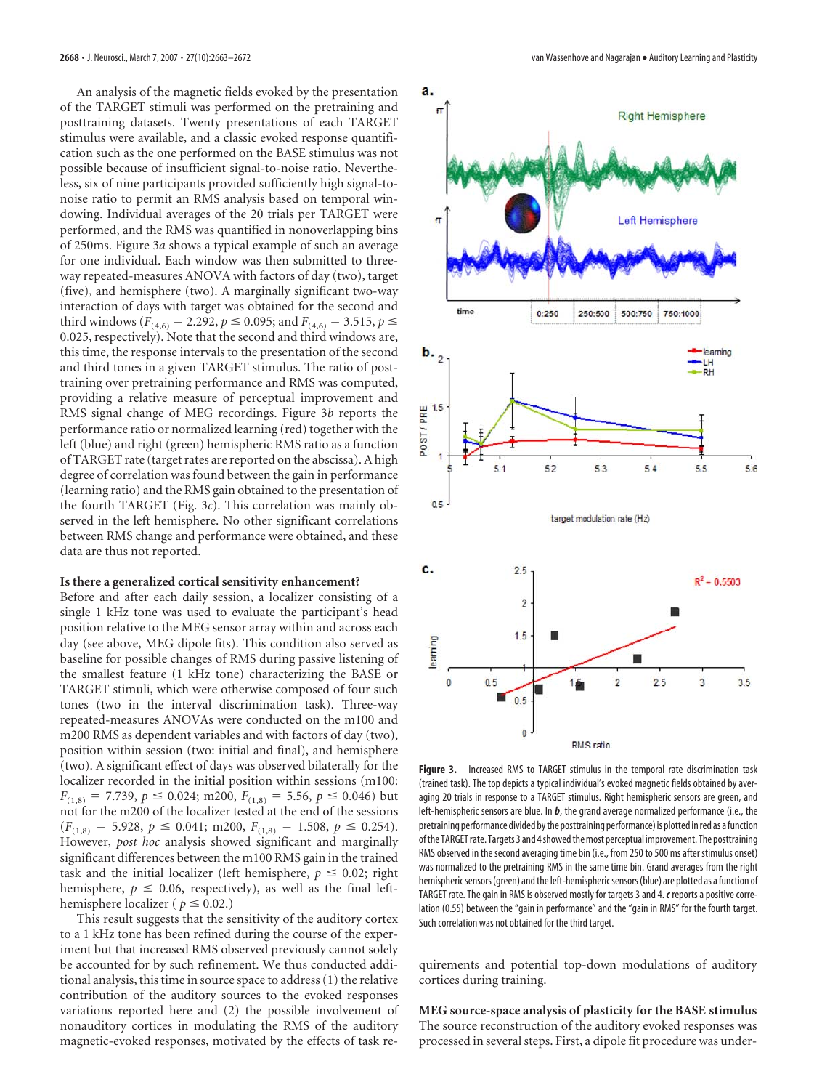An analysis of the magnetic fields evoked by the presentation of the TARGET stimuli was performed on the pretraining and posttraining datasets. Twenty presentations of each TARGET stimulus were available, and a classic evoked response quantification such as the one performed on the BASE stimulus was not possible because of insufficient signal-to-noise ratio. Nevertheless, six of nine participants provided sufficiently high signal-tonoise ratio to permit an RMS analysis based on temporal windowing. Individual averages of the 20 trials per TARGET were performed, and the RMS was quantified in nonoverlapping bins of 250ms. Figure 3*a* shows a typical example of such an average for one individual. Each window was then submitted to threeway repeated-measures ANOVA with factors of day (two), target (five), and hemisphere (two). A marginally significant two-way interaction of days with target was obtained for the second and third windows ( $F_{(4,6)} = 2.292$ ,  $p \le 0.095$ ; and  $F_{(4,6)} = 3.515$ ,  $p \le$ 0.025, respectively). Note that the second and third windows are, this time, the response intervals to the presentation of the second and third tones in a given TARGET stimulus. The ratio of posttraining over pretraining performance and RMS was computed, providing a relative measure of perceptual improvement and RMS signal change of MEG recordings. Figure 3*b* reports the performance ratio or normalized learning (red) together with the left (blue) and right (green) hemispheric RMS ratio as a function of TARGET rate (target rates are reported on the abscissa). A high degree of correlation was found between the gain in performance (learning ratio) and the RMS gain obtained to the presentation of the fourth TARGET (Fig. 3*c*). This correlation was mainly observed in the left hemisphere. No other significant correlations between RMS change and performance were obtained, and these data are thus not reported.

## **Is there a generalized cortical sensitivity enhancement?**

Before and after each daily session, a localizer consisting of a single 1 kHz tone was used to evaluate the participant's head position relative to the MEG sensor array within and across each day (see above, MEG dipole fits). This condition also served as baseline for possible changes of RMS during passive listening of the smallest feature (1 kHz tone) characterizing the BASE or TARGET stimuli, which were otherwise composed of four such tones (two in the interval discrimination task). Three-way repeated-measures ANOVAs were conducted on the m100 and m200 RMS as dependent variables and with factors of day (two), position within session (two: initial and final), and hemisphere (two). A significant effect of days was observed bilaterally for the localizer recorded in the initial position within sessions (m100:  $F_{(1,8)} = 7.739$ ,  $p \le 0.024$ ; m200,  $F_{(1,8)} = 5.56$ ,  $p \le 0.046$ ) but not for the m200 of the localizer tested at the end of the sessions  $(F_{(1,8)} = 5.928, p \le 0.041; \text{ m200}, F_{(1,8)} = 1.508, p \le 0.254).$ However, *post hoc* analysis showed significant and marginally significant differences between the m100 RMS gain in the trained task and the initial localizer (left hemisphere,  $p \leq 0.02$ ; right hemisphere,  $p \leq 0.06$ , respectively), as well as the final lefthemisphere localizer ( $p \leq 0.02$ .)

This result suggests that the sensitivity of the auditory cortex to a 1 kHz tone has been refined during the course of the experiment but that increased RMS observed previously cannot solely be accounted for by such refinement. We thus conducted additional analysis, this time in source space to address (1) the relative contribution of the auditory sources to the evoked responses variations reported here and (2) the possible involvement of nonauditory cortices in modulating the RMS of the auditory magnetic-evoked responses, motivated by the effects of task re-



**Figure 3.** Increased RMS to TARGET stimulus in the temporal rate discrimination task (trained task). The top depicts a typical individual's evoked magnetic fields obtained by averaging 20 trials in response to a TARGET stimulus. Right hemispheric sensors are green, and left-hemispheric sensors are blue. In *b*, the grand average normalized performance (i.e., the pretraining performance divided bythe posttraining performance) is plotted inred as afunction of the TARGET rate. Targets 3 and 4 showed the most perceptual improvement. The posttraining RMS observed in the second averaging time bin (i.e., from 250 to 500 ms after stimulus onset) was normalized to the pretraining RMS in the same time bin. Grand averages from the right hemispheric sensors (green) and the left-hemispheric sensors (blue) are plotted as a function of TARGET rate. The gain in RMS is observed mostly for targets 3 and 4. *c* reports a positive correlation (0.55) between the "gain in performance" and the "gain in RMS" for the fourth target. Such correlation was not obtained for the third target.

quirements and potential top-down modulations of auditory cortices during training.

# **MEG source-space analysis of plasticity for the BASE stimulus** The source reconstruction of the auditory evoked responses was processed in several steps. First, a dipole fit procedure was under-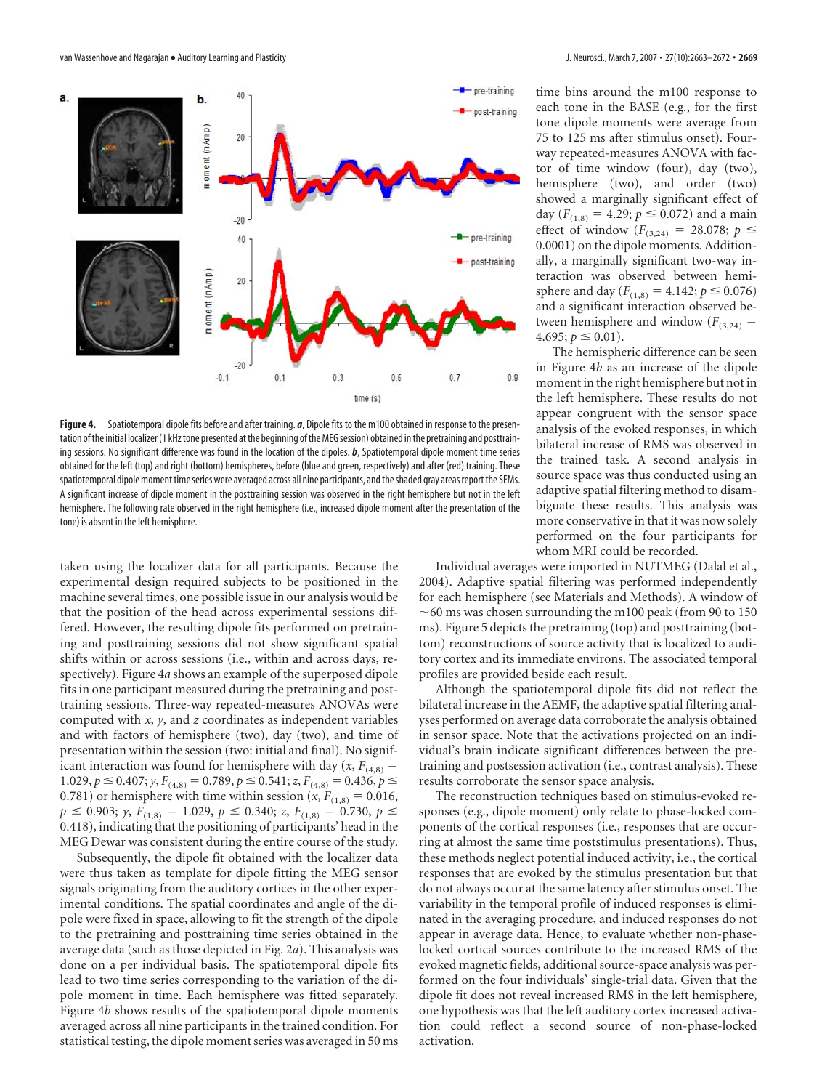

**Figure 4.** Spatiotemporal dipole fits before and after training. *a*, Dipole fits to the m100 obtained in response to the presentation of the initial localizer (1 kHz tone presented at the beginning of the MEG session) obtained in the pretraining and posttraining sessions. No significant difference was found in the location of the dipoles. *b*, Spatiotemporal dipole moment time series obtained for the left (top) and right (bottom) hemispheres, before (blue and green, respectively) and after (red) training. These spatiotemporal dipole moment time series were averaged across all nine participants, and the shaded gray areas report the SEMs. A significant increase of dipole moment in the posttraining session was observed in the right hemisphere but not in the left hemisphere. The following rate observed in the right hemisphere (i.e., increased dipole moment after the presentation of the tone) is absent in the left hemisphere.

taken using the localizer data for all participants. Because the experimental design required subjects to be positioned in the machine several times, one possible issue in our analysis would be that the position of the head across experimental sessions differed. However, the resulting dipole fits performed on pretraining and posttraining sessions did not show significant spatial shifts within or across sessions (i.e., within and across days, respectively). Figure 4*a* shows an example of the superposed dipole fits in one participant measured during the pretraining and posttraining sessions. Three-way repeated-measures ANOVAs were computed with *x*, *y*, and *z* coordinates as independent variables and with factors of hemisphere (two), day (two), and time of presentation within the session (two: initial and final). No significant interaction was found for hemisphere with day  $(x, F_{(4,8)})$  $1.029, p \le 0.407; y, F_{(4,8)} = 0.789, p \le 0.541; z, F_{(4,8)} = 0.436, p \le$ 0.781) or hemisphere with time within session  $(x, F_{(1,8)} = 0.016$ ,  $p \le 0.903$ ; *y*,  $F_{(1,8)} = 1.029$ ,  $p \le 0.340$ ; *z*,  $F_{(1,8)} = 0.730$ ,  $p \le$ 0.418), indicating that the positioning of participants' head in the MEG Dewar was consistent during the entire course of the study.

Subsequently, the dipole fit obtained with the localizer data were thus taken as template for dipole fitting the MEG sensor signals originating from the auditory cortices in the other experimental conditions. The spatial coordinates and angle of the dipole were fixed in space, allowing to fit the strength of the dipole to the pretraining and posttraining time series obtained in the average data (such as those depicted in Fig. 2*a*). This analysis was done on a per individual basis. The spatiotemporal dipole fits lead to two time series corresponding to the variation of the dipole moment in time. Each hemisphere was fitted separately. Figure 4*b* shows results of the spatiotemporal dipole moments averaged across all nine participants in the trained condition. For statistical testing, the dipole moment series was averaged in 50 ms time bins around the m100 response to each tone in the BASE (e.g., for the first tone dipole moments were average from 75 to 125 ms after stimulus onset). Fourway repeated-measures ANOVA with factor of time window (four), day (two), hemisphere (two), and order (two) showed a marginally significant effect of day  $(F_{(1,8)} = 4.29; p \le 0.072)$  and a main effect of window  $(F_{(3,24)} = 28.078; p \le$ 0.0001) on the dipole moments. Additionally, a marginally significant two-way interaction was observed between hemisphere and day ( $F_{(1,8)} = 4.142$ ;  $p \le 0.076$ ) and a significant interaction observed between hemisphere and window  $(F_{(3,24)} =$  $4.695; p \le 0.01$ ).

The hemispheric difference can be seen in Figure 4*b* as an increase of the dipole moment in the right hemisphere but not in the left hemisphere. These results do not appear congruent with the sensor space analysis of the evoked responses, in which bilateral increase of RMS was observed in the trained task. A second analysis in source space was thus conducted using an adaptive spatial filtering method to disambiguate these results. This analysis was more conservative in that it was now solely performed on the four participants for whom MRI could be recorded.

Individual averages were imported in NUTMEG (Dalal et al., 2004). Adaptive spatial filtering was performed independently for each hemisphere (see Materials and Methods). A window of  $\sim$  60 ms was chosen surrounding the m100 peak (from 90 to 150 ms). Figure 5 depicts the pretraining (top) and posttraining (bottom) reconstructions of source activity that is localized to auditory cortex and its immediate environs. The associated temporal profiles are provided beside each result.

Although the spatiotemporal dipole fits did not reflect the bilateral increase in the AEMF, the adaptive spatial filtering analyses performed on average data corroborate the analysis obtained in sensor space. Note that the activations projected on an individual's brain indicate significant differences between the pretraining and postsession activation (i.e., contrast analysis). These results corroborate the sensor space analysis.

The reconstruction techniques based on stimulus-evoked responses (e.g., dipole moment) only relate to phase-locked components of the cortical responses (i.e., responses that are occurring at almost the same time poststimulus presentations). Thus, these methods neglect potential induced activity, i.e., the cortical responses that are evoked by the stimulus presentation but that do not always occur at the same latency after stimulus onset. The variability in the temporal profile of induced responses is eliminated in the averaging procedure, and induced responses do not appear in average data. Hence, to evaluate whether non-phaselocked cortical sources contribute to the increased RMS of the evoked magnetic fields, additional source-space analysis was performed on the four individuals' single-trial data. Given that the dipole fit does not reveal increased RMS in the left hemisphere, one hypothesis was that the left auditory cortex increased activation could reflect a second source of non-phase-locked activation.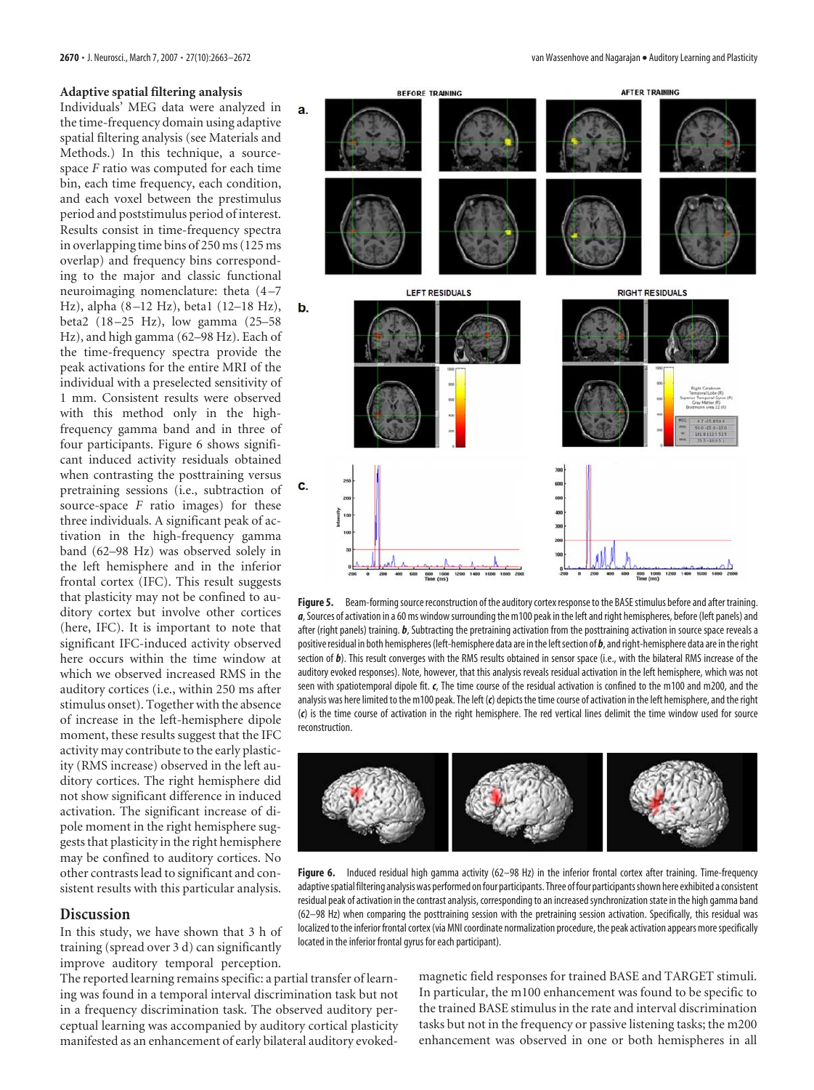## **Adaptive spatial filtering analysis**

Individuals' MEG data were analyzed in the time-frequency domain using adaptive spatial filtering analysis (see Materials and Methods.) In this technique, a sourcespace *F* ratio was computed for each time bin, each time frequency, each condition, and each voxel between the prestimulus period and poststimulus period of interest. Results consist in time-frequency spectra in overlapping time bins of 250 ms (125 ms overlap) and frequency bins corresponding to the major and classic functional neuroimaging nomenclature: theta (4 –7 Hz), alpha (8 –12 Hz), beta1 (12–18 Hz), beta2 (18 –25 Hz), low gamma (25–58 Hz), and high gamma (62–98 Hz). Each of the time-frequency spectra provide the peak activations for the entire MRI of the individual with a preselected sensitivity of 1 mm. Consistent results were observed with this method only in the highfrequency gamma band and in three of four participants. Figure 6 shows significant induced activity residuals obtained when contrasting the posttraining versus pretraining sessions (i.e., subtraction of source-space *F* ratio images) for these three individuals. A significant peak of activation in the high-frequency gamma band (62–98 Hz) was observed solely in the left hemisphere and in the inferior frontal cortex (IFC). This result suggests that plasticity may not be confined to auditory cortex but involve other cortices (here, IFC). It is important to note that significant IFC-induced activity observed here occurs within the time window at which we observed increased RMS in the auditory cortices (i.e., within 250 ms after stimulus onset). Together with the absence of increase in the left-hemisphere dipole moment, these results suggest that the IFC activity may contribute to the early plasticity (RMS increase) observed in the left auditory cortices. The right hemisphere did not show significant difference in induced activation. The significant increase of dipole moment in the right hemisphere suggests that plasticity in the right hemisphere may be confined to auditory cortices. No other contrasts lead to significant and consistent results with this particular analysis.

# **Discussion**

In this study, we have shown that 3 h of training (spread over 3 d) can significantly improve auditory temporal perception.

The reported learning remains specific: a partial transfer of learning was found in a temporal interval discrimination task but not in a frequency discrimination task. The observed auditory perceptual learning was accompanied by auditory cortical plasticity manifested as an enhancement of early bilateral auditory evoked-

**2670 •** J. Neurosci., March 7, 2007 • 27(10):2663–2672 van Wassenhove and Nagarajan • Auditory Learning and Plasticity



Figure 5. Beam-forming source reconstruction of the auditory cortex response to the BASE stimulus before and after training. *a*, Sources of activation in a 60 ms windowsurrounding the m100 peak in the left and right hemispheres, before (left panels) and after (right panels) training. *b*, Subtracting the pretraining activation from the posttraining activation in source space reveals a positive residual in both hemispheres (left-hemisphere data are in the left section of  $b$ , and right-hemisphere data are in the right section of *b*). This result converges with the RMS results obtained in sensor space (i.e., with the bilateral RMS increase of the auditory evoked responses). Note, however, that this analysis reveals residual activation in the left hemisphere, which was not seen with spatiotemporal dipole fit. *c*, The time course of the residual activation is confined to the m100 and m200, and the analysis was here limited to the m100 peak. The left (*c*) depicts the time course of activation in the left hemisphere, and the right (*c*) is the time course of activation in the right hemisphere. The red vertical lines delimit the time window used for source reconstruction.



**Figure 6.** Induced residual high gamma activity (62–98 Hz) in the inferior frontal cortex after training. Time-frequency adaptive spatial filtering analysis was performed on four participants. Three of four participants shown here exhibited a consistent residual peak of activation in the contrast analysis, corresponding to an increased synchronization state in the high gamma band (62–98 Hz) when comparing the posttraining session with the pretraining session activation. Specifically, this residual was localized to the inferior frontal cortex (via MNI coordinate normalization procedure, the peak activation appears morespecifically located in the inferior frontal gyrus for each participant).

magnetic field responses for trained BASE and TARGET stimuli. In particular, the m100 enhancement was found to be specific to the trained BASE stimulus in the rate and interval discrimination tasks but not in the frequency or passive listening tasks; the m200 enhancement was observed in one or both hemispheres in all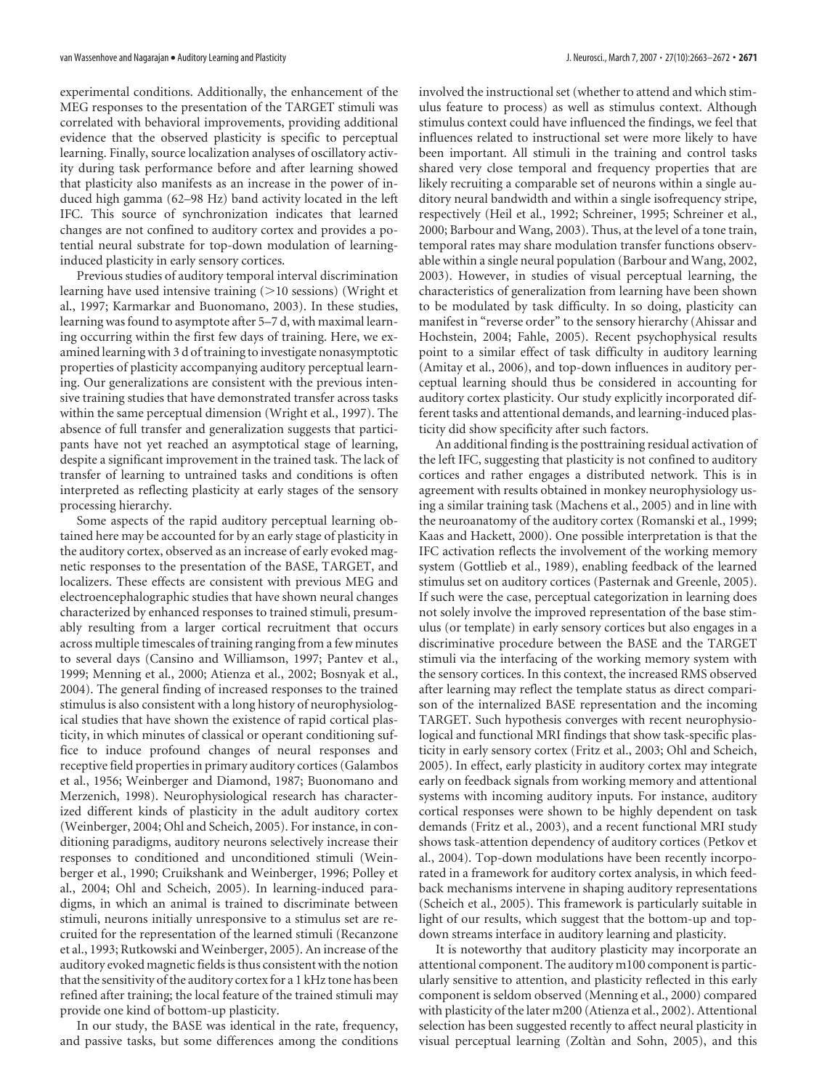experimental conditions. Additionally, the enhancement of the MEG responses to the presentation of the TARGET stimuli was correlated with behavioral improvements, providing additional evidence that the observed plasticity is specific to perceptual learning. Finally, source localization analyses of oscillatory activity during task performance before and after learning showed that plasticity also manifests as an increase in the power of induced high gamma (62–98 Hz) band activity located in the left IFC. This source of synchronization indicates that learned changes are not confined to auditory cortex and provides a potential neural substrate for top-down modulation of learninginduced plasticity in early sensory cortices.

Previous studies of auditory temporal interval discrimination learning have used intensive training  $(>10$  sessions) (Wright et al., 1997; Karmarkar and Buonomano, 2003). In these studies, learning was found to asymptote after 5–7 d, with maximal learning occurring within the first few days of training. Here, we examined learning with 3 d of training to investigate nonasymptotic properties of plasticity accompanying auditory perceptual learning. Our generalizations are consistent with the previous intensive training studies that have demonstrated transfer across tasks within the same perceptual dimension (Wright et al., 1997). The absence of full transfer and generalization suggests that participants have not yet reached an asymptotical stage of learning, despite a significant improvement in the trained task. The lack of transfer of learning to untrained tasks and conditions is often interpreted as reflecting plasticity at early stages of the sensory processing hierarchy.

Some aspects of the rapid auditory perceptual learning obtained here may be accounted for by an early stage of plasticity in the auditory cortex, observed as an increase of early evoked magnetic responses to the presentation of the BASE, TARGET, and localizers. These effects are consistent with previous MEG and electroencephalographic studies that have shown neural changes characterized by enhanced responses to trained stimuli, presumably resulting from a larger cortical recruitment that occurs across multiple timescales of training ranging from a few minutes to several days (Cansino and Williamson, 1997; Pantev et al., 1999; Menning et al., 2000; Atienza et al., 2002; Bosnyak et al., 2004). The general finding of increased responses to the trained stimulus is also consistent with a long history of neurophysiological studies that have shown the existence of rapid cortical plasticity, in which minutes of classical or operant conditioning suffice to induce profound changes of neural responses and receptive field properties in primary auditory cortices (Galambos et al., 1956; Weinberger and Diamond, 1987; Buonomano and Merzenich, 1998). Neurophysiological research has characterized different kinds of plasticity in the adult auditory cortex (Weinberger, 2004; Ohl and Scheich, 2005). For instance, in conditioning paradigms, auditory neurons selectively increase their responses to conditioned and unconditioned stimuli (Weinberger et al., 1990; Cruikshank and Weinberger, 1996; Polley et al., 2004; Ohl and Scheich, 2005). In learning-induced paradigms, in which an animal is trained to discriminate between stimuli, neurons initially unresponsive to a stimulus set are recruited for the representation of the learned stimuli (Recanzone et al., 1993; Rutkowski and Weinberger, 2005). An increase of the auditory evoked magnetic fields is thus consistent with the notion that the sensitivity of the auditory cortex for a 1 kHz tone has been refined after training; the local feature of the trained stimuli may provide one kind of bottom-up plasticity.

In our study, the BASE was identical in the rate, frequency, and passive tasks, but some differences among the conditions involved the instructional set (whether to attend and which stimulus feature to process) as well as stimulus context. Although stimulus context could have influenced the findings, we feel that influences related to instructional set were more likely to have been important. All stimuli in the training and control tasks shared very close temporal and frequency properties that are likely recruiting a comparable set of neurons within a single auditory neural bandwidth and within a single isofrequency stripe, respectively (Heil et al., 1992; Schreiner, 1995; Schreiner et al., 2000; Barbour and Wang, 2003). Thus, at the level of a tone train, temporal rates may share modulation transfer functions observable within a single neural population (Barbour and Wang, 2002, 2003). However, in studies of visual perceptual learning, the characteristics of generalization from learning have been shown to be modulated by task difficulty. In so doing, plasticity can manifest in "reverse order" to the sensory hierarchy (Ahissar and Hochstein, 2004; Fahle, 2005). Recent psychophysical results point to a similar effect of task difficulty in auditory learning (Amitay et al., 2006), and top-down influences in auditory perceptual learning should thus be considered in accounting for auditory cortex plasticity. Our study explicitly incorporated different tasks and attentional demands, and learning-induced plas-

ticity did show specificity after such factors.

An additional finding is the posttraining residual activation of the left IFC, suggesting that plasticity is not confined to auditory cortices and rather engages a distributed network. This is in agreement with results obtained in monkey neurophysiology using a similar training task (Machens et al., 2005) and in line with the neuroanatomy of the auditory cortex (Romanski et al., 1999; Kaas and Hackett, 2000). One possible interpretation is that the IFC activation reflects the involvement of the working memory system (Gottlieb et al., 1989), enabling feedback of the learned stimulus set on auditory cortices (Pasternak and Greenle, 2005). If such were the case, perceptual categorization in learning does not solely involve the improved representation of the base stimulus (or template) in early sensory cortices but also engages in a discriminative procedure between the BASE and the TARGET stimuli via the interfacing of the working memory system with the sensory cortices. In this context, the increased RMS observed after learning may reflect the template status as direct comparison of the internalized BASE representation and the incoming TARGET. Such hypothesis converges with recent neurophysiological and functional MRI findings that show task-specific plasticity in early sensory cortex (Fritz et al., 2003; Ohl and Scheich, 2005). In effect, early plasticity in auditory cortex may integrate early on feedback signals from working memory and attentional systems with incoming auditory inputs. For instance, auditory cortical responses were shown to be highly dependent on task demands (Fritz et al., 2003), and a recent functional MRI study shows task-attention dependency of auditory cortices (Petkov et al., 2004). Top-down modulations have been recently incorporated in a framework for auditory cortex analysis, in which feedback mechanisms intervene in shaping auditory representations (Scheich et al., 2005). This framework is particularly suitable in light of our results, which suggest that the bottom-up and topdown streams interface in auditory learning and plasticity.

It is noteworthy that auditory plasticity may incorporate an attentional component. The auditory m100 component is particularly sensitive to attention, and plasticity reflected in this early component is seldom observed (Menning et al., 2000) compared with plasticity of the later m200 (Atienza et al., 2002). Attentional selection has been suggested recently to affect neural plasticity in visual perceptual learning (Zoltàn and Sohn, 2005), and this